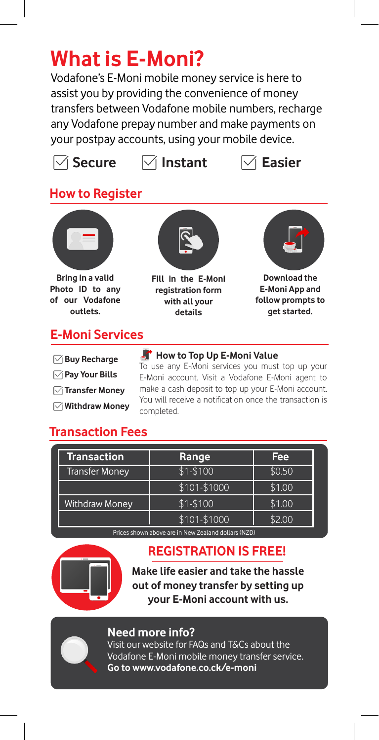## **What is E-Moni?**

Vodafone's E-Moni mobile money service is here to assist you by providing the convenience of money transfers between Vodafone mobile numbers, recharge any Vodafone prepay number and make payments on your postpay accounts, using your mobile device.





## **How to Register**



**Buy Recharge**

#### **Pay Your Bills**

- **Transfer Money**
- **Withdraw Money**

#### **How to Top Up E-Moni Value** To use any E-Moni services you must top up your E-Moni account. Visit a Vodafone E-Moni agent to make a cash deposit to top up your E-Moni account. You will receive a notification once the transaction is

## **Transaction Fees**

| <b>Transaction</b>    | Range        | Fee    |
|-----------------------|--------------|--------|
| Transfer Money        | $$1 - $100$  | \$0.50 |
|                       | \$101-\$1000 | \$1.00 |
| <b>Withdraw Money</b> | $$1 - $100$  | \$1.00 |
|                       | \$101-\$1000 | \$2.00 |

completed.

Prices shown above are in New Zealand dollars (NZD)

#### **REGISTRATION IS FREE!**

**Make life easier and take the hassle out of money transfer by setting up your E-Moni account with us.**

#### **Need more info?**

Visit our website for FAQs and T&Cs about the Vodafone E-Moni mobile money transfer service. **Go to www.vodafone.co.ck/e-moni**